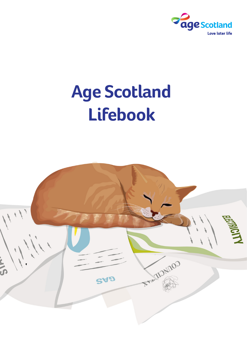

# **Age Scotland Lifebook**

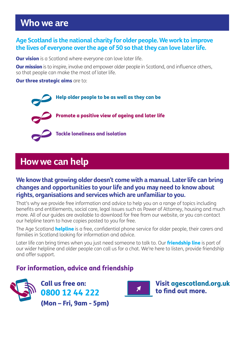### **Who we are**

### **Age Scotland is the national charity for older people. We work to improve the lives of everyone over the age of 50 so that they can love later life.**

**Our vision** is a Scotland where everyone can love later life.

**Our mission** is to inspire, involve and empower older people in Scotland, and influence others, so that people can make the most of later life.

#### **Our three strategic aims** are to:

Help older people to be as well as they can be Promote a positive view of ageing and later life Tackle loneliness and isolation

### **How we can help**

### **We know that growing older doesn't come with a manual. Later life can bring changes and opportunities to your life and you may need to know about rights, organisations and services which are unfamiliar to you.**

That's why we provide free information and advice to help you on a range of topics including benefits and entitlements, social care, legal issues such as Power of Attorney, housing and much more. All of our guides are available to download for free from our website, or you can contact our helpline team to have copies posted to you for free.

The Age Scotland **helpline** is a free, confidential phone service for older people, their carers and families in Scotland looking for information and advice.

Later life can bring times when you just need someone to talk to. Our **friendship line** is part of our wider helpline and older people can call us for a chat. We're here to listen, provide friendship and offer support.

### For information, advice and friendship



Call us free on: 0800 12 44 222 (Mon – Fri, 9am - 5pm)



Visit agescotland.org.uk to find out more.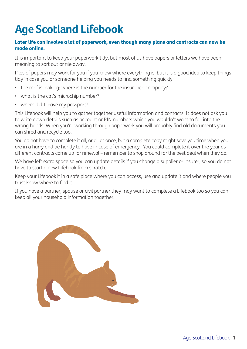## **Age Scotland Lifebook**

#### Later life can involve a lot of paperwork, even though many plans and contracts can now be made online.

It is important to keep your paperwork tidy, but most of us have papers or letters we have been meaning to sort out or file away.

Piles of papers may work for you if you know where everything is, but it is a good idea to keep things tidy in case you or someone helping you needs to find something quickly:

- the roof is leaking; where is the number for the insurance company?
- what is the cat's microchip number?
- where did I leave my passport?

This Lifebook will help you to gather together useful information and contacts. It does not ask you to write down details such as account or PIN numbers which you wouldn't want to fall into the wrong hands. When you're working through paperwork you will probably find old documents you can shred and recycle too.

You do not have to complete it all, or all at once, but a complete copy might save you time when you are in a hurry and be handy to have in case of emergency. You could complete it over the year as different contracts come up for renewal – remember to shop around for the best deal when they do.

We have left extra space so you can update details if you change a supplier or insurer, so you do not have to start a new Lifebook from scratch.

Keep your Lifebook it in a safe place where you can access, use and update it and where people you trust know where to find it.

If you have a partner, spouse or civil partner they may want to complete a Lifebook too so you can keep all your household information together.

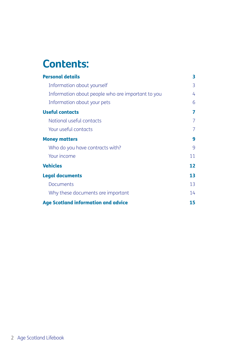## **Contents:**

| <b>Personal details</b>                           | 3  |
|---------------------------------------------------|----|
| Information about yourself                        | 3  |
| Information about people who are important to you | 4  |
| Information about your pets                       | 6  |
| <b>Useful contacts</b>                            | 7  |
| National useful contacts                          | 7  |
| Your useful contacts                              | 7  |
| <b>Money matters</b>                              | 9  |
| Who do you have contracts with?                   | 9  |
| Your income                                       | 11 |
| <b>Vehicles</b>                                   | 12 |
| <b>Legal documents</b>                            | 13 |
| Documents                                         | 13 |
| Why these documents are important                 | 14 |
| <b>Age Scotland information and advice</b>        | 15 |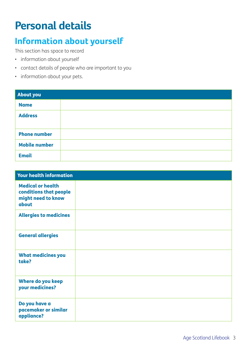## **Personal details**

## **Information about yourself**

This section has space to record

- information about yourself
- contact details of people who are important to you
- information about your pets.

| <b>About you</b>     |  |
|----------------------|--|
| <b>Name</b>          |  |
| <b>Address</b>       |  |
| <b>Phone number</b>  |  |
| <b>Mobile number</b> |  |
| <b>Email</b>         |  |

| <b>Your health information</b>                                                    |  |
|-----------------------------------------------------------------------------------|--|
| <b>Medical or health</b><br>conditions that people<br>might need to know<br>about |  |
| <b>Allergies to medicines</b>                                                     |  |
| <b>General allergies</b>                                                          |  |
| <b>What medicines you</b><br>take?                                                |  |
| <b>Where do you keep</b><br>your medicines?                                       |  |
| Do you have a<br>pacemaker or similar<br>appliance?                               |  |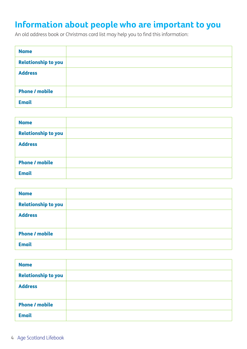## **Information about people who are important to you**

An old address book or Christmas card list may help you to find this information:

| <b>Name</b>                |  |
|----------------------------|--|
| <b>Relationship to you</b> |  |
| <b>Address</b>             |  |
| <b>Phone / mobile</b>      |  |
| <b>Email</b>               |  |

| <b>Name</b>                |  |
|----------------------------|--|
| <b>Relationship to you</b> |  |
| <b>Address</b>             |  |
|                            |  |
| <b>Phone / mobile</b>      |  |
| <b>Email</b>               |  |

| <b>Name</b>                |  |
|----------------------------|--|
| <b>Relationship to you</b> |  |
| <b>Address</b>             |  |
| <b>Phone / mobile</b>      |  |
| <b>Email</b>               |  |

| <b>Name</b>                |  |
|----------------------------|--|
| <b>Relationship to you</b> |  |
| <b>Address</b>             |  |
| <b>Phone / mobile</b>      |  |
| <b>Email</b>               |  |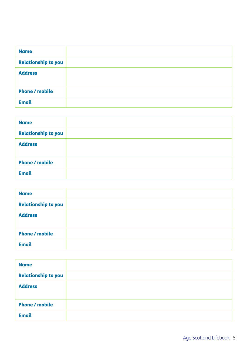| <b>Name</b>                |  |
|----------------------------|--|
| <b>Relationship to you</b> |  |
| <b>Address</b>             |  |
| <b>Phone / mobile</b>      |  |
| <b>Email</b>               |  |

| <b>Name</b>                |  |
|----------------------------|--|
| <b>Relationship to you</b> |  |
| <b>Address</b>             |  |
|                            |  |
| <b>Phone / mobile</b>      |  |
| <b>Email</b>               |  |

| <b>Name</b>                |  |
|----------------------------|--|
| <b>Relationship to you</b> |  |
| <b>Address</b>             |  |
| <b>Phone / mobile</b>      |  |
| <b>Email</b>               |  |

| <b>Name</b>                |  |
|----------------------------|--|
| <b>Relationship to you</b> |  |
| <b>Address</b>             |  |
| <b>Phone / mobile</b>      |  |
| <b>Email</b>               |  |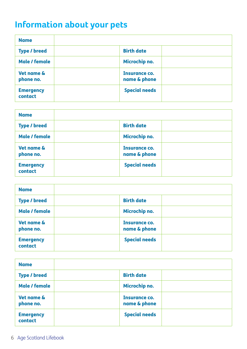## **Information about your pets**

| <b>Name</b>                 |                                      |
|-----------------------------|--------------------------------------|
| <b>Type / breed</b>         | <b>Birth date</b>                    |
| Male / female               | Microchip no.                        |
| Vet name &<br>phone no.     | <b>Insurance co.</b><br>name & phone |
| <b>Emergency</b><br>contact | <b>Special needs</b>                 |

| <b>Name</b>                 |                               |  |
|-----------------------------|-------------------------------|--|
| <b>Type / breed</b>         | <b>Birth date</b>             |  |
| Male / female               | Microchip no.                 |  |
| Vet name &<br>phone no.     | Insurance co.<br>name & phone |  |
| <b>Emergency</b><br>contact | <b>Special needs</b>          |  |

| <b>Name</b>                 |                                      |
|-----------------------------|--------------------------------------|
| <b>Type / breed</b>         | <b>Birth date</b>                    |
| Male / female               | <b>Microchip no.</b>                 |
| Vet name &<br>phone no.     | <b>Insurance co.</b><br>name & phone |
| <b>Emergency</b><br>contact | <b>Special needs</b>                 |

| <b>Name</b>                 |                                      |
|-----------------------------|--------------------------------------|
| <b>Type / breed</b>         | <b>Birth date</b>                    |
| Male / female               | Microchip no.                        |
| Vet name &<br>phone no.     | <b>Insurance co.</b><br>name & phone |
| <b>Emergency</b><br>contact | <b>Special needs</b>                 |

6 Age Scotland Lifebook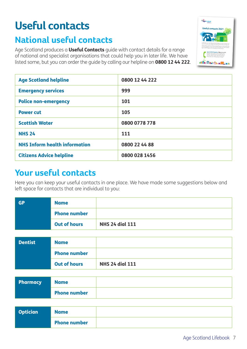## **Useful contacts Useful contacts 2021**

## **National useful contacts**

Age Scotland produces a **Useful Contacts** guide with contact details for a range of national and specialist organisations that could help you in later life. We have listed some, but you can order the guide by calling our helpline on 0800 12 44 222.



| <b>Age Scotland helpline</b>         | 0800 12 44 222 |
|--------------------------------------|----------------|
| <b>Emergency services</b>            | 999            |
| <b>Police non-emergency</b>          | 101            |
| <b>Power cut</b>                     | 105            |
| <b>Scottish Water</b>                | 0800 0778 778  |
| <b>NHS 24</b>                        | 111            |
| <b>NHS Inform health information</b> | 0800 22 44 88  |
| <b>Citizens Advice helpline</b>      | 0800 028 1456  |

### **Your useful contacts**

Here you can keep your useful contacts in one place. We have made some suggestions below and left space for contacts that are individual to you:

| <b>GP</b> | <b>Name</b>         |                        |
|-----------|---------------------|------------------------|
|           | <b>Phone number</b> |                        |
|           | <b>Out of hours</b> | <b>NHS 24 dial 111</b> |

| <b>Dentist</b> | <b>Name</b>         |                        |
|----------------|---------------------|------------------------|
|                | <b>Phone number</b> |                        |
|                | <b>Out of hours</b> | <b>NHS 24 dial 111</b> |

| <b>Pharmacy</b> | <b>Name</b>         |  |
|-----------------|---------------------|--|
|                 | <b>Phone number</b> |  |

| <b>Optician</b> | <b>Name</b>         |  |
|-----------------|---------------------|--|
|                 | <b>Phone number</b> |  |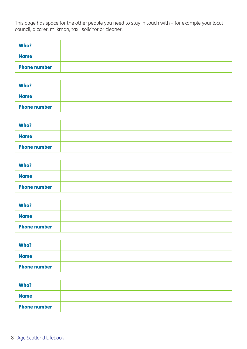This page has space for the other people you need to stay in touch with – for example your local council, a carer, milkman, taxi, solicitor or cleaner.

| Who?                |  |
|---------------------|--|
| <b>Name</b>         |  |
| <b>Phone number</b> |  |

| Who?                |  |
|---------------------|--|
| <b>Name</b>         |  |
| <b>Phone number</b> |  |

| Who?                |  |
|---------------------|--|
| <b>Name</b>         |  |
| <b>Phone number</b> |  |

| Who?                |  |
|---------------------|--|
| <b>Name</b>         |  |
| <b>Phone number</b> |  |

| Who?                |  |
|---------------------|--|
| <b>Name</b>         |  |
| <b>Phone number</b> |  |

| Who?                |  |
|---------------------|--|
| <b>Name</b>         |  |
| <b>Phone number</b> |  |

| Who?                |  |
|---------------------|--|
| <b>Name</b>         |  |
| <b>Phone number</b> |  |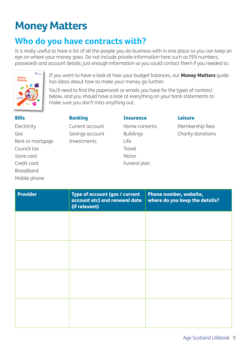## **Money Matters**

## **Who do you have contracts with?**

It is really useful to have a list of all the people you do business with in one place so you can keep an eye on where your money goes. Do not include private information here such as PIN numbers, passwords and account details; just enough information so you could contact them if you needed to.



If you want to have a look at how your budget balances, our **Money Matters** quide has ideas about how to make your money go further.

You'll need to find the paperwork or emails you have for the types of contract below, and you should have a look at everything on your bank statements to make sure you don't miss anything out.

| <b>Bills</b>     | <b>Banking</b>  | <b>Insurance</b> | <b>Leisure</b>    |
|------------------|-----------------|------------------|-------------------|
| Electricity      | Current account | Home contents    | Membership fees   |
| Gas              | Savings account | <b>Buildings</b> | Charity donations |
| Rent or mortgage | Investments     | Life             |                   |
| Council tax      |                 | Travel           |                   |
| Store card       |                 | Motor            |                   |
| Credit card      |                 | Funeral plan     |                   |
| <b>Broadband</b> |                 |                  |                   |
| Mobile phone     |                 |                  |                   |

| <b>Provider</b> | Type of account (gas / current<br>account etc) and renewal date<br>(if relevant) | Phone number, website,<br>where do you keep the details? |
|-----------------|----------------------------------------------------------------------------------|----------------------------------------------------------|
|                 |                                                                                  |                                                          |
|                 |                                                                                  |                                                          |
|                 |                                                                                  |                                                          |
|                 |                                                                                  |                                                          |
|                 |                                                                                  |                                                          |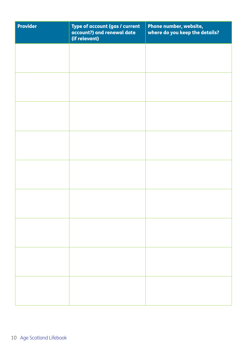| Type of account (gas / current<br>account?) and renewal date<br>(if relevant) | Phone number, website,<br>where do you keep the details? |
|-------------------------------------------------------------------------------|----------------------------------------------------------|
|                                                                               |                                                          |
|                                                                               |                                                          |
|                                                                               |                                                          |
|                                                                               |                                                          |
|                                                                               |                                                          |
|                                                                               |                                                          |
|                                                                               |                                                          |
|                                                                               |                                                          |
|                                                                               |                                                          |
|                                                                               |                                                          |
|                                                                               |                                                          |
|                                                                               |                                                          |
|                                                                               |                                                          |
|                                                                               |                                                          |
|                                                                               |                                                          |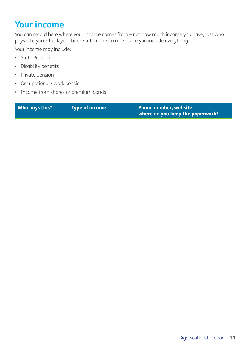## **Your income**

You can record here where your income comes from – not how much income you have, just who pays it to you. Check your bank statements to make sure you include everything.

Your income may include:

- State Pension
- Disability benefits
- Private pension
- Occupational / work pension
- Income from shares or premium bonds

| Who pays this? | <b>Type of income</b> | Phone number, website,<br>where do you keep the paperwork? |
|----------------|-----------------------|------------------------------------------------------------|
|                |                       |                                                            |
|                |                       |                                                            |
|                |                       |                                                            |
|                |                       |                                                            |
|                |                       |                                                            |
|                |                       |                                                            |
|                |                       |                                                            |
|                |                       |                                                            |
|                |                       |                                                            |
|                |                       |                                                            |
|                |                       |                                                            |
|                |                       |                                                            |
|                |                       |                                                            |
|                |                       |                                                            |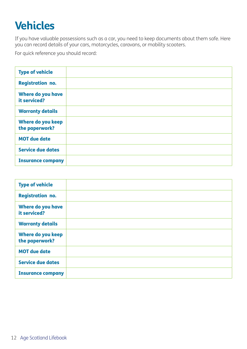## **Vehicles**

If you have valuable possessions such as a car, you need to keep documents about them safe. Here you can record details of your cars, motorcycles, caravans, or mobility scooters.

For quick reference you should record:

| <b>Type of vehicle</b>                     |  |
|--------------------------------------------|--|
| <b>Registration no.</b>                    |  |
| Where do you have<br>it serviced?          |  |
| <b>Warranty details</b>                    |  |
| <b>Where do you keep</b><br>the paperwork? |  |
| <b>MOT due date</b>                        |  |
| <b>Service due dates</b>                   |  |
| <b>Insurance company</b>                   |  |

| <b>Type of vehicle</b>              |  |
|-------------------------------------|--|
| <b>Registration no.</b>             |  |
| Where do you have<br>it serviced?   |  |
| <b>Warranty details</b>             |  |
| Where do you keep<br>the paperwork? |  |
| <b>MOT due date</b>                 |  |
| <b>Service due dates</b>            |  |
| <b>Insurance company</b>            |  |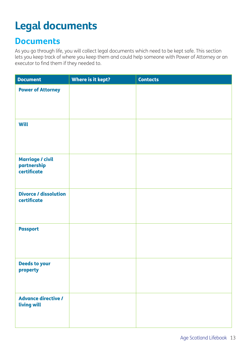## **Legal documents**

### **Documents**

As you go through life, you will collect legal documents which need to be kept safe. This section lets you keep track of where you keep them and could help someone with Power of Attorney or an executor to find them if they needed to.

| <b>Document</b>                                | Where is it kept? | <b>Contacts</b> |
|------------------------------------------------|-------------------|-----------------|
| <b>Power of Attorney</b>                       |                   |                 |
| <b>Will</b>                                    |                   |                 |
| Marriage / civil<br>partnership<br>certificate |                   |                 |
| <b>Divorce / dissolution</b><br>certificate    |                   |                 |
| <b>Passport</b>                                |                   |                 |
| <b>Deeds to your</b><br>property               |                   |                 |
| <b>Advance directive /</b><br>living will      |                   |                 |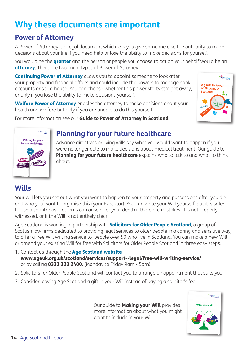## **Why these documents are important**

### **Power of Attorney**

A Power of Attorney is a legal document which lets you give someone else the authority to make decisions about your life if you need help or lose the ability to make decisions for yourself.

You would be the **granter** and the person or people you choose to act on your behalf would be an **attorney.** There are two main types of Power of Attorney:

**Continuing Power of Attorney** allows you to appoint someone to look after your property and financial affairs and could include the powers to manage bank accounts or sell a house. You can choose whether this power starts straight away, or only if you lose the ability to make decisions yourself.

Welfare Power of Attorney enables the attorney to make decisions about your health and welfare but only if you are unable to do this yourself.

For more information see our Guide to Power of Attorney in Scotland.





### **Planning for your future healthcare**

Advance directives or living wills say what you would want to happen if you were no longer able to make decisions about medical treatment. Our guide to **Planning for your future healthcare** explains who to talk to and what to think about.

### **Wills**

Your will lets you set out what you want to happen to your property and possessions after you die, and who you want to organise this (your Executor). You can write your Will yourself, but it is safer to use a solicitor as problems can arise after your death if there are mistakes, it is not properly witnessed, or if the Will is not entirely clear.

Age Scotland is working in partnership with **Solicitors for Older People Scotland**, a group of Scottish law firms dedicated to providing legal services to older people in a caring and sensitive way, to offer a free Will writing service to people over 50 who live in Scotland. You can make a new Will or amend your existing Will for free with Solicitors for Older People Scotland in three easy steps.

- 1. Contact us through the Age Scotland website www.ageuk.org.uk/scotland/services/support--legal/free-will-writing-service/ or by calling 0333 323 2400. (Monday to Friday 9am - 5pm)
- 2. Solicitors for Older People Scotland will contact you to arrange an appointment that suits you.
- 3. Consider leaving Age Scotland a gift in your Will instead of paying a solicitor's fee.

Our quide to Making your Will provides more information about what you might want to include in your Will.

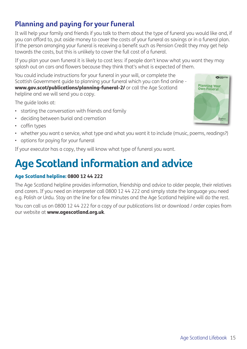### **Planning and paying for your funeral**

It will help your family and friends if you talk to them about the type of funeral you would like and, if you can afford to, put aside money to cover the costs of your funeral as savings or in a funeral plan. If the person arranging your funeral is receiving a benefit such as Pension Credit they may get help towards the costs, but this is unlikely to cover the full cost of a funeral.

If you plan your own funeral it is likely to cost less: if people don't know what you want they may splash out on cars and flowers because they think that's what is expected of them.

You could include instructions for your funeral in your will, or complete the Scottish Government guide to planning your funeral which you can find online www.gov.scot/publications/planning-funeral-2/ or call the Age Scotland helpline and we will send you a copy.

The guide looks at:

- starting the conversation with friends and family
- deciding between burial and cremation
- coffin types
- whether you want a service, what type and what you want it to include (music, poems, readings?)
- options for paying for your funeral

If your executor has a copy, they will know what type of funeral you want.

## **Age Scotland information and advice**

#### Age Scotland helpline: 0800 12 44 222

The Age Scotland helpline provides information, friendship and advice to older people, their relatives and carers. If you need an interpreter call 0800 12 44 222 and simply state the language you need e.g. Polish or Urdu. Stay on the line for a few minutes and the Age Scotland helpline will do the rest.

You can call us on 0800 12 44 222 for a copy of our publications list or download / order copies from our website at www.agescotland.org.uk.

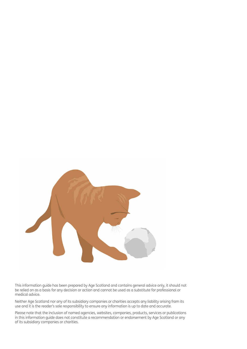

This information guide has been prepared by Age Scotland and contains general advice only, it should not be relied on as a basis for any decision or action and cannot be used as a substitute for professional or medical advice.

Neither Age Scotland nor any of its subsidiary companies or charities accepts any liability arising from its use and it is the reader's sole responsibility to ensure any information is up to date and accurate.

Please note that the inclusion of named agencies, websites, companies, products, services or publications in this information guide does not constitute a recommendation or endorsement by Age Scotland or any of its subsidiary companies or charities.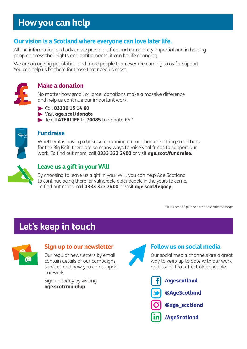## **How you can help**

### **Our vision is a Scotland where everyone can love later life.**

All the information and advice we provide is free and completely impartial and in helping people access their rights and entitlements, it can be life changing.

We are an ageing population and more people than ever are coming to us for support. You can help us be there for those that need us most.



#### **Make a donation**

No matter how small or large, donations make a massive difference and help us continue our important work.

- $\triangleright$  Call 03330 15 14 60
- Visit age.scot/donate
- Text LATERLIFE to 70085 to donate £5.\*



#### **Fundraise**

Whether it is having a bake sale, running a marathon or knitting small hats for the Big Knit, there are so many ways to raise vital funds to support our work. To find out more, call **0333 323 2400** or visit **age.scot/fundraise.** 



### **Leave us a gift in your Will**

By choosing to leave us a gift in your Will, you can help Age Scotland to continue being there for vulnerable older people in the years to come. To find out more, call **0333 323 2400** or visit **age.scot/legacy**.

\* Texts cost £5 plus one standard rate message

## **Let's keep in touch**



#### **Sign up to our newsletter**

Our regular newsletters by email contain details of our campaigns, services and how you can support our work.

Sign up today by visiting age.scot/roundup



### **Follow us on social media**

Our social media channels are a great way to keep up to date with our work and issues that affect older people.

/agescotland @AgeScotland @age\_scotland /AgeScotland